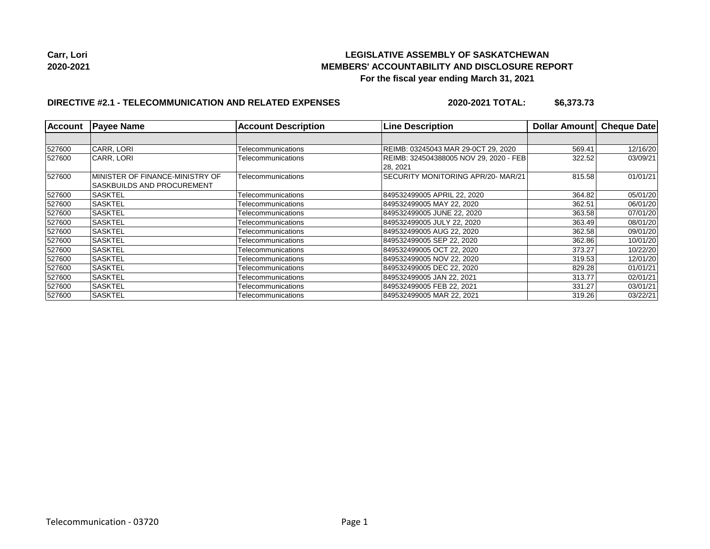

## **DIRECTIVE #2.1 - TELECOMMUNICATION AND RELATED EXPENSES**

**2020-2021 TOTAL: \$6,373.73**

| <b>Account</b> | <b>Payee Name</b>                                                    | <b>Account Description</b> | <b>Line Description</b>                             | <b>Dollar Amount</b> | <b>Cheque Date</b> |
|----------------|----------------------------------------------------------------------|----------------------------|-----------------------------------------------------|----------------------|--------------------|
|                |                                                                      |                            |                                                     |                      |                    |
| 527600         | CARR, LORI                                                           | Telecommunications         | REIMB: 03245043 MAR 29-0CT 29, 2020                 | 569.41               | 12/16/20           |
| 527600         | CARR, LORI                                                           | Telecommunications         | REIMB: 324504388005 NOV 29, 2020 - FEB<br> 28, 2021 | 322.52               | 03/09/21           |
| 527600         | MINISTER OF FINANCE-MINISTRY OF<br><b>SASKBUILDS AND PROCUREMENT</b> | Telecommunications         | SECURITY MONITORING APR/20-MAR/21<br>815.58         |                      | 01/01/21           |
| 527600         | <b>SASKTEL</b>                                                       | Telecommunications         | 849532499005 APRIL 22, 2020                         | 364.82               | 05/01/20           |
| 527600         | <b>SASKTEL</b>                                                       | Telecommunications         | 849532499005 MAY 22, 2020                           | 362.51               | 06/01/20           |
| 527600         | <b>SASKTEL</b>                                                       | Telecommunications         | 849532499005 JUNE 22, 2020                          | 363.58               | 07/01/20           |
| 527600         | <b>SASKTEL</b>                                                       | Telecommunications         | 849532499005 JULY 22, 2020                          | 363.49               | 08/01/20           |
| 527600         | <b>SASKTEL</b>                                                       | Telecommunications         | 849532499005 AUG 22. 2020                           | 362.58               | 09/01/20           |
| 527600         | <b>SASKTEL</b>                                                       | Telecommunications         | 849532499005 SEP 22, 2020                           | 362.86               | 10/01/20           |
| 527600         | <b>SASKTEL</b>                                                       | Telecommunications         | 849532499005 OCT 22, 2020                           | 373.27               | 10/22/20           |
| 527600         | <b>SASKTEL</b>                                                       | Telecommunications         | 849532499005 NOV 22, 2020                           | 319.53               | 12/01/20           |
| 527600         | <b>SASKTEL</b>                                                       | Telecommunications         | 849532499005 DEC 22, 2020                           | 829.28               | 01/01/21           |
| 527600         | <b>SASKTEL</b>                                                       | Telecommunications         | 849532499005 JAN 22, 2021                           | 313.77               | 02/01/21           |
| 527600         | <b>SASKTEL</b>                                                       | Telecommunications         | 849532499005 FEB 22, 2021                           | 331.27               | 03/01/21           |
| 527600         | <b>SASKTEL</b>                                                       | Telecommunications         | 849532499005 MAR 22, 2021                           | 319.26               | 03/22/21           |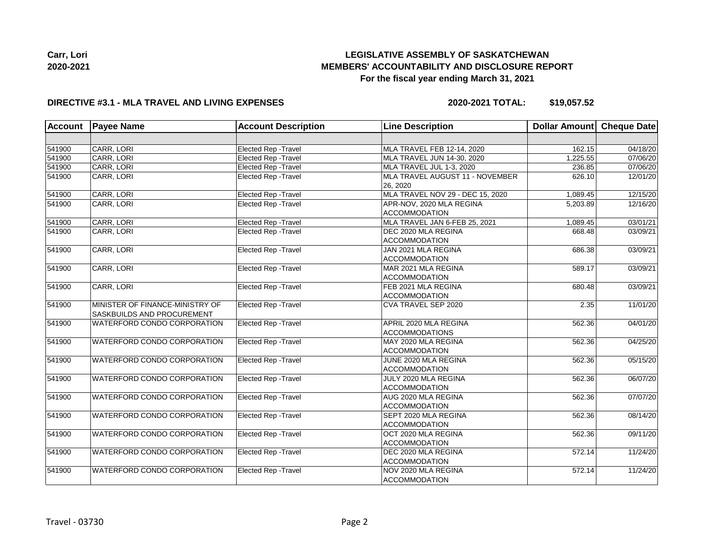

| Carr, Lori |  |
|------------|--|
| 2020-2021  |  |

# **LEGISLATIVE ASSEMBLY OF SASKATCHEWAN MEMBERS' ACCOUNTABILITY AND DISCLOSURE REPORT For the fiscal year ending March 31, 2021**

# **DIRECTIVE #3.1 - MLA TRAVEL AND LIVING EXPENSES**

**2020-2021 TOTAL: \$19,057.52**

| <b>Account</b> | <b>Payee Name</b>                                             | <b>Account Description</b>  | <b>Line Description</b>                               | Dollar Amount Cheque Date |          |
|----------------|---------------------------------------------------------------|-----------------------------|-------------------------------------------------------|---------------------------|----------|
|                |                                                               |                             |                                                       |                           |          |
| 541900         | CARR, LORI                                                    | Elected Rep - Travel        | MLA TRAVEL FEB 12-14, 2020                            | 162.15                    | 04/18/20 |
| 541900         | CARR, LORI                                                    | Elected Rep - Travel        | MLA TRAVEL JUN 14-30, 2020                            | 1,225.55                  | 07/06/20 |
| 541900         | CARR, LORI                                                    | Elected Rep - Travel        | MLA TRAVEL JUL 1-3, 2020                              | 236.85                    | 07/06/20 |
| 541900         | CARR, LORI                                                    | Elected Rep - Travel        | MLA TRAVEL AUGUST 11 - NOVEMBER<br>26, 2020           | 626.10                    | 12/01/20 |
| 541900         | CARR, LORI                                                    | Elected Rep - Travel        | MLA TRAVEL NOV 29 - DEC 15, 2020                      | 1,089.45                  | 12/15/20 |
| 541900         | CARR, LORI                                                    | Elected Rep - Travel        | APR-NOV, 2020 MLA REGINA<br><b>ACCOMMODATION</b>      | 5,203.89                  | 12/16/20 |
| 541900         | CARR, LORI                                                    | <b>Elected Rep - Travel</b> | MLA TRAVEL JAN 6-FEB 25, 2021                         | 1,089.45                  | 03/01/21 |
| 541900         | CARR, LORI                                                    | <b>Elected Rep - Travel</b> | DEC 2020 MLA REGINA<br>668.48<br><b>ACCOMMODATION</b> |                           | 03/09/21 |
| 541900         | CARR, LORI                                                    | <b>Elected Rep - Travel</b> | JAN 2021 MLA REGINA<br><b>ACCOMMODATION</b>           | 686.38                    | 03/09/21 |
| 541900         | CARR, LORI                                                    | Elected Rep - Travel        | MAR 2021 MLA REGINA<br><b>ACCOMMODATION</b>           | 589.17                    | 03/09/21 |
| 541900         | CARR, LORI                                                    | Elected Rep - Travel        | FEB 2021 MLA REGINA<br><b>ACCOMMODATION</b>           | 680.48                    | 03/09/21 |
| 541900         | MINISTER OF FINANCE-MINISTRY OF<br>SASKBUILDS AND PROCUREMENT | Elected Rep - Travel        | CVA TRAVEL SEP 2020                                   | 2.35                      | 11/01/20 |
| 541900         | WATERFORD CONDO CORPORATION                                   | Elected Rep - Travel        | APRIL 2020 MLA REGINA<br><b>ACCOMMODATIONS</b>        | 562.36                    | 04/01/20 |
| 541900         | WATERFORD CONDO CORPORATION                                   | Elected Rep - Travel        | MAY 2020 MLA REGINA<br><b>ACCOMMODATION</b>           | 562.36                    | 04/25/20 |
| 541900         | WATERFORD CONDO CORPORATION                                   | Elected Rep - Travel        | JUNE 2020 MLA REGINA<br><b>ACCOMMODATION</b>          | 562.36                    | 05/15/20 |
| 541900         | WATERFORD CONDO CORPORATION                                   | <b>Elected Rep - Travel</b> | JULY 2020 MLA REGINA<br><b>ACCOMMODATION</b>          | 562.36                    | 06/07/20 |
| 541900         | WATERFORD CONDO CORPORATION                                   | Elected Rep - Travel        | AUG 2020 MLA REGINA<br><b>ACCOMMODATION</b>           | 562.36                    | 07/07/20 |
| 541900         | WATERFORD CONDO CORPORATION                                   | Elected Rep - Travel        | SEPT 2020 MLA REGINA<br><b>ACCOMMODATION</b>          | 562.36                    | 08/14/20 |
| 541900         | WATERFORD CONDO CORPORATION                                   | Elected Rep - Travel        | OCT 2020 MLA REGINA<br><b>ACCOMMODATION</b>           | 562.36                    | 09/11/20 |
| 541900         | WATERFORD CONDO CORPORATION                                   | <b>Elected Rep - Travel</b> | DEC 2020 MLA REGINA<br><b>ACCOMMODATION</b>           | 572.14                    | 11/24/20 |
| 541900         | WATERFORD CONDO CORPORATION                                   | Elected Rep - Travel        | NOV 2020 MLA REGINA<br><b>ACCOMMODATION</b>           | 572.14                    | 11/24/20 |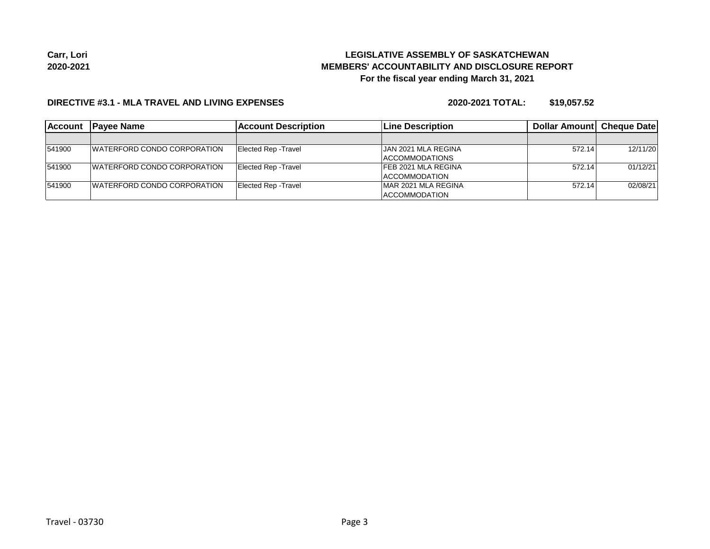#### **DIRECTIVE #3.1 - MLA TRAVEL AND LIVING EXPENSES**

**2020-2021 TOTAL: \$19,057.52**

| <b>Account</b> | <b>IPavee Name</b>                  | <b>Account Description</b> | <b>Line Description</b>    | <b>Dollar Amountl Cheque Date</b> |          |
|----------------|-------------------------------------|----------------------------|----------------------------|-----------------------------------|----------|
|                |                                     |                            |                            |                                   |          |
| 541900         | <b>IWATERFORD CONDO CORPORATION</b> | Elected Rep - Travel       | <b>JAN 2021 MLA REGINA</b> | 572.14                            | 12/11/20 |
|                |                                     |                            | <b>ACCOMMODATIONS</b>      |                                   |          |
| 541900         | <b>IWATERFORD CONDO CORPORATION</b> | Elected Rep - Travel       | <b>FEB 2021 MLA REGINA</b> | 572.14                            | 01/12/21 |
|                |                                     |                            | <b>ACCOMMODATION</b>       |                                   |          |
| 541900         | <b>IWATERFORD CONDO CORPORATION</b> | Elected Rep - Travel       | MAR 2021 MLA REGINA        | 572.14                            | 02/08/21 |
|                |                                     |                            | <b>ACCOMMODATION</b>       |                                   |          |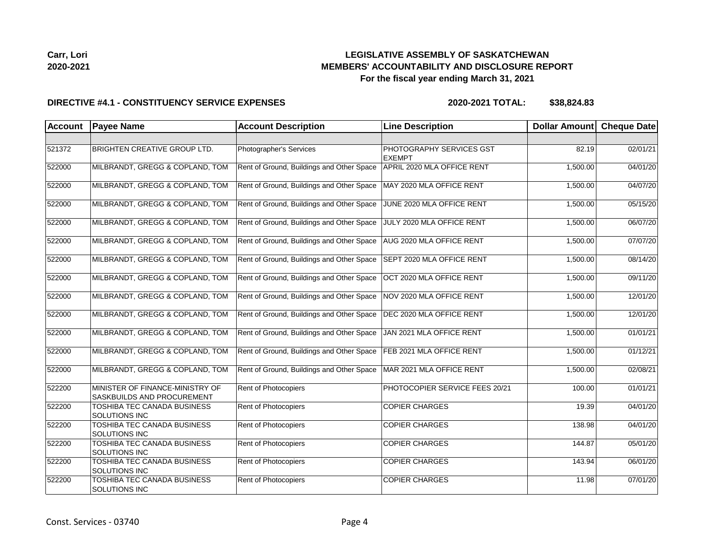| Carr, Lori |  |
|------------|--|
| 2020-2021  |  |

#### **DIRECTIVE #4.1 - CONSTITUENCY SERVICE EXPENSES**

**2020-2021 TOTAL: \$38,824.83**

| <b>Account</b> | <b>Payee Name</b>                                             | <b>Account Description</b>                | <b>Line Description</b>                   | Dollar Amount Cheque Date |          |
|----------------|---------------------------------------------------------------|-------------------------------------------|-------------------------------------------|---------------------------|----------|
|                |                                                               |                                           |                                           |                           |          |
| 521372         | <b>BRIGHTEN CREATIVE GROUP LTD.</b>                           | Photographer's Services                   | PHOTOGRAPHY SERVICES GST<br><b>EXEMPT</b> | 82.19                     | 02/01/21 |
| 522000         | MILBRANDT, GREGG & COPLAND, TOM                               | Rent of Ground, Buildings and Other Space | APRIL 2020 MLA OFFICE RENT                | 1,500.00                  | 04/01/20 |
| 522000         | MILBRANDT, GREGG & COPLAND, TOM                               | Rent of Ground, Buildings and Other Space | MAY 2020 MLA OFFICE RENT                  | 1,500.00                  | 04/07/20 |
| 522000         | MILBRANDT, GREGG & COPLAND, TOM                               | Rent of Ground, Buildings and Other Space | JUNE 2020 MLA OFFICE RENT                 | 1,500.00                  | 05/15/20 |
| 522000         | MILBRANDT, GREGG & COPLAND, TOM                               | Rent of Ground, Buildings and Other Space | JULY 2020 MLA OFFICE RENT                 | 1,500.00                  | 06/07/20 |
| 522000         | MILBRANDT, GREGG & COPLAND, TOM                               | Rent of Ground, Buildings and Other Space | AUG 2020 MLA OFFICE RENT                  | 1,500.00                  | 07/07/20 |
| 522000         | MILBRANDT, GREGG & COPLAND, TOM                               | Rent of Ground, Buildings and Other Space | SEPT 2020 MLA OFFICE RENT                 | 1,500.00                  | 08/14/20 |
| 522000         | MILBRANDT, GREGG & COPLAND, TOM                               | Rent of Ground, Buildings and Other Space | OCT 2020 MLA OFFICE RENT                  | 1,500.00                  | 09/11/20 |
| 522000         | MILBRANDT, GREGG & COPLAND, TOM                               | Rent of Ground, Buildings and Other Space | NOV 2020 MLA OFFICE RENT                  | 1,500.00                  | 12/01/20 |
| 522000         | MILBRANDT, GREGG & COPLAND, TOM                               | Rent of Ground, Buildings and Other Space | DEC 2020 MLA OFFICE RENT                  | 1,500.00                  | 12/01/20 |
| 522000         | MILBRANDT, GREGG & COPLAND, TOM                               | Rent of Ground, Buildings and Other Space | JAN 2021 MLA OFFICE RENT                  | 1,500.00                  | 01/01/21 |
| 522000         | MILBRANDT, GREGG & COPLAND, TOM                               | Rent of Ground, Buildings and Other Space | FEB 2021 MLA OFFICE RENT                  | 1,500.00                  | 01/12/21 |
| 522000         | MILBRANDT, GREGG & COPLAND, TOM                               | Rent of Ground, Buildings and Other Space | MAR 2021 MLA OFFICE RENT                  | 1,500.00                  | 02/08/21 |
| 522200         | MINISTER OF FINANCE-MINISTRY OF<br>SASKBUILDS AND PROCUREMENT | Rent of Photocopiers                      | PHOTOCOPIER SERVICE FEES 20/21            | 100.00                    | 01/01/21 |
| 522200         | TOSHIBA TEC CANADA BUSINESS<br>SOLUTIONS INC                  | Rent of Photocopiers                      | <b>COPIER CHARGES</b>                     | 19.39                     | 04/01/20 |
| 522200         | TOSHIBA TEC CANADA BUSINESS<br>SOLUTIONS INC                  | <b>Rent of Photocopiers</b>               | <b>COPIER CHARGES</b>                     | 138.98                    | 04/01/20 |
| 522200         | TOSHIBA TEC CANADA BUSINESS<br>SOLUTIONS INC                  | Rent of Photocopiers                      | <b>COPIER CHARGES</b>                     | 144.87                    | 05/01/20 |
| 522200         | TOSHIBA TEC CANADA BUSINESS<br>SOLUTIONS INC                  | Rent of Photocopiers                      | <b>COPIER CHARGES</b>                     | 143.94                    | 06/01/20 |
| 522200         | TOSHIBA TEC CANADA BUSINESS<br>SOLUTIONS INC                  | Rent of Photocopiers                      | <b>COPIER CHARGES</b>                     | 11.98                     | 07/01/20 |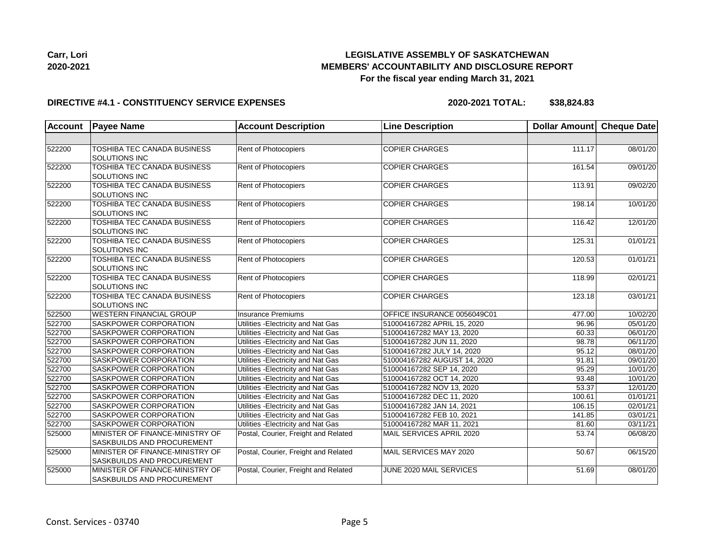

| LEGISLATIVE ASSEMBLY OF SASKATCHEWAN                 |
|------------------------------------------------------|
| <b>MEMBERS' ACCOUNTABILITY AND DISCLOSURE REPORT</b> |
| For the fiscal year ending March 31, 2021            |

# **DIRECTIVE #4.1 - CONSTITUENCY SERVICE EXPENSES**

**2020-2021 TOTAL: \$38,824.83**

| <b>Account</b> | <b>Payee Name</b>                                             | <b>Account Description</b>           | <b>Line Description</b>      | Dollar Amount       | <b>Cheque Date</b> |
|----------------|---------------------------------------------------------------|--------------------------------------|------------------------------|---------------------|--------------------|
|                |                                                               |                                      |                              |                     |                    |
| 522200         | TOSHIBA TEC CANADA BUSINESS<br><b>SOLUTIONS INC</b>           | <b>Rent of Photocopiers</b>          | <b>COPIER CHARGES</b>        | 111.17              | 08/01/20           |
| 522200         | TOSHIBA TEC CANADA BUSINESS<br>SOLUTIONS INC                  | Rent of Photocopiers                 | <b>COPIER CHARGES</b>        | 161.54              | 09/01/20           |
| 522200         | TOSHIBA TEC CANADA BUSINESS<br>SOLUTIONS INC                  | Rent of Photocopiers                 | <b>COPIER CHARGES</b>        | 113.91              | 09/02/20           |
| 522200         | TOSHIBA TEC CANADA BUSINESS<br>SOLUTIONS INC                  | Rent of Photocopiers                 | <b>COPIER CHARGES</b>        | 198.14              | 10/01/20           |
| 522200         | TOSHIBA TEC CANADA BUSINESS<br>SOLUTIONS INC                  | Rent of Photocopiers                 | <b>COPIER CHARGES</b>        | 116.42              | 12/01/20           |
| 522200         | TOSHIBA TEC CANADA BUSINESS<br>SOLUTIONS INC                  | Rent of Photocopiers                 | <b>COPIER CHARGES</b>        | 125.31              | 01/01/21           |
| 522200         | TOSHIBA TEC CANADA BUSINESS<br>SOLUTIONS INC                  | Rent of Photocopiers                 | <b>COPIER CHARGES</b>        | 120.53              | 01/01/21           |
| 522200         | TOSHIBA TEC CANADA BUSINESS<br>SOLUTIONS INC                  | Rent of Photocopiers                 | <b>COPIER CHARGES</b>        | 118.99              | 02/01/21           |
| 522200         | TOSHIBA TEC CANADA BUSINESS<br>SOLUTIONS INC                  | Rent of Photocopiers                 | <b>COPIER CHARGES</b>        | 123.18              | 03/01/21           |
| 522500         | <b>WESTERN FINANCIAL GROUP</b>                                | <b>Insurance Premiums</b>            | OFFICE INSURANCE 0056049C01  | $\overline{477.00}$ | 10/02/20           |
| 522700         | SASKPOWER CORPORATION                                         | Utilities - Electricity and Nat Gas  | 510004167282 APRIL 15, 2020  | 96.96               | 05/01/20           |
| 522700         | SASKPOWER CORPORATION                                         | Utilities - Electricity and Nat Gas  | 510004167282 MAY 13, 2020    | 60.33               | 06/01/20           |
| 522700         | SASKPOWER CORPORATION                                         | Utilities - Electricity and Nat Gas  | 510004167282 JUN 11, 2020    | 98.78               | 06/11/20           |
| 522700         | SASKPOWER CORPORATION                                         | Utilities - Electricity and Nat Gas  | 510004167282 JULY 14, 2020   | 95.12               | 08/01/20           |
| 522700         | SASKPOWER CORPORATION                                         | Utilities - Electricity and Nat Gas  | 510004167282 AUGUST 14, 2020 | 91.81               | 09/01/20           |
| 522700         | SASKPOWER CORPORATION                                         | Utilities - Electricity and Nat Gas  | 510004167282 SEP 14, 2020    | 95.29               | 10/01/20           |
| 522700         | SASKPOWER CORPORATION                                         | Utilities - Electricity and Nat Gas  | 510004167282 OCT 14, 2020    | 93.48               | 10/01/20           |
| 522700         | SASKPOWER CORPORATION                                         | Utilities - Electricity and Nat Gas  | 510004167282 NOV 13, 2020    | 53.37               | 12/01/20           |
| 522700         | SASKPOWER CORPORATION                                         | Utilities - Electricity and Nat Gas  | 510004167282 DEC 11, 2020    | 100.61              | 01/01/21           |
| 522700         | SASKPOWER CORPORATION                                         | Utilities - Electricity and Nat Gas  | 510004167282 JAN 14, 2021    | 106.15              | 02/01/21           |
| 522700         | SASKPOWER CORPORATION                                         | Utilities - Electricity and Nat Gas  | 510004167282 FEB 10, 2021    | 141.85              | 03/01/21           |
| 522700         | SASKPOWER CORPORATION                                         | Utilities - Electricity and Nat Gas  | 510004167282 MAR 11, 2021    | 81.60               | 03/11/21           |
| 525000         | MINISTER OF FINANCE-MINISTRY OF<br>SASKBUILDS AND PROCUREMENT | Postal, Courier, Freight and Related | MAIL SERVICES APRIL 2020     | 53.74               | 06/08/20           |
| 525000         | MINISTER OF FINANCE-MINISTRY OF<br>SASKBUILDS AND PROCUREMENT | Postal, Courier, Freight and Related | MAIL SERVICES MAY 2020       | 50.67               | 06/15/20           |
| 525000         | MINISTER OF FINANCE-MINISTRY OF<br>SASKBUILDS AND PROCUREMENT | Postal, Courier, Freight and Related | JUNE 2020 MAIL SERVICES      | 51.69               | 08/01/20           |

**Carr, Lori 2020-2021**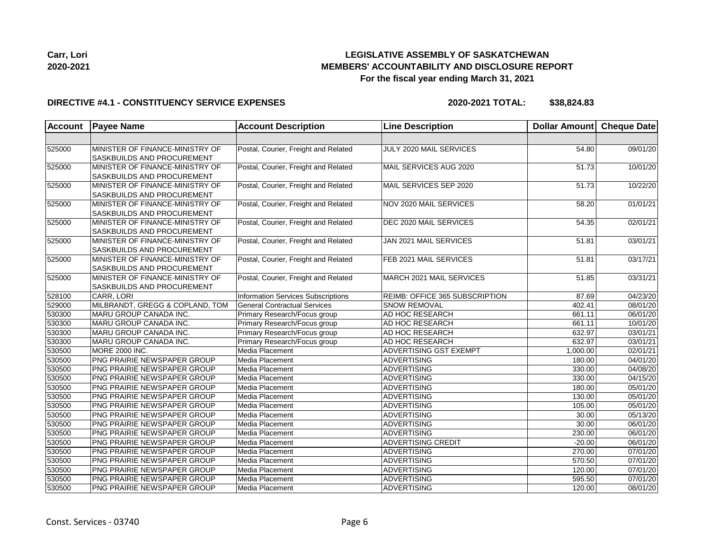

#### **DIRECTIVE #4.1 - CONSTITUENCY SERVICE EXPENSES**

**2020-2021 TOTAL: \$38,824.83**

| Account | <b>Payee Name</b>                 | <b>Account Description</b>           | <b>Line Description</b>        | Dollar Amount Cheque Date |                       |
|---------|-----------------------------------|--------------------------------------|--------------------------------|---------------------------|-----------------------|
|         |                                   |                                      |                                |                           |                       |
| 525000  | MINISTER OF FINANCE-MINISTRY OF   | Postal, Courier, Freight and Related | JULY 2020 MAIL SERVICES        | 54.80                     | 09/01/20              |
|         | <b>SASKBUILDS AND PROCUREMENT</b> |                                      |                                |                           |                       |
| 525000  | MINISTER OF FINANCE-MINISTRY OF   | Postal, Courier, Freight and Related | MAIL SERVICES AUG 2020         | 51.73                     | 10/01/20              |
|         | <b>SASKBUILDS AND PROCUREMENT</b> |                                      |                                |                           |                       |
| 525000  | MINISTER OF FINANCE-MINISTRY OF   | Postal, Courier, Freight and Related | MAIL SERVICES SEP 2020         | 51.73                     | 10/22/20              |
|         | SASKBUILDS AND PROCUREMENT        |                                      |                                |                           |                       |
| 525000  | MINISTER OF FINANCE-MINISTRY OF   | Postal, Courier, Freight and Related | NOV 2020 MAIL SERVICES         | 58.20                     | 01/01/21              |
|         | SASKBUILDS AND PROCUREMENT        |                                      |                                |                           |                       |
| 525000  | MINISTER OF FINANCE-MINISTRY OF   | Postal, Courier, Freight and Related | DEC 2020 MAIL SERVICES         | 54.35                     | 02/01/21              |
|         | <b>SASKBUILDS AND PROCUREMENT</b> |                                      |                                |                           |                       |
| 525000  | MINISTER OF FINANCE-MINISTRY OF   | Postal, Courier, Freight and Related | JAN 2021 MAIL SERVICES         | 51.81                     | 03/01/21              |
|         | SASKBUILDS AND PROCUREMENT        |                                      |                                |                           |                       |
| 525000  | MINISTER OF FINANCE-MINISTRY OF   | Postal, Courier, Freight and Related | FEB 2021 MAIL SERVICES         | 51.81                     | 03/17/21              |
|         | SASKBUILDS AND PROCUREMENT        |                                      |                                |                           |                       |
| 525000  | MINISTER OF FINANCE-MINISTRY OF   | Postal, Courier, Freight and Related | MARCH 2021 MAIL SERVICES       | 51.85                     | 03/31/21              |
|         | SASKBUILDS AND PROCUREMENT        |                                      |                                |                           |                       |
| 528100  | CARR, LORI                        | Information Services Subscriptions   | REIMB: OFFICE 365 SUBSCRIPTION | 87.69                     | 04/23/20              |
| 529000  | MILBRANDT, GREGG & COPLAND, TOM   | <b>General Contractual Services</b>  | <b>SNOW REMOVAL</b>            | 402.41                    | 08/01/20              |
| 530300  | MARU GROUP CANADA INC.            | Primary Research/Focus group         | <b>AD HOC RESEARCH</b>         | 661.11                    | 06/01/20              |
| 530300  | MARU GROUP CANADA INC.            | Primary Research/Focus group         | AD HOC RESEARCH                | 661.11                    | 10/01/20              |
| 530300  | MARU GROUP CANADA INC.            | Primary Research/Focus group         | AD HOC RESEARCH                | 632.97                    | 03/01/21              |
| 530300  | MARU GROUP CANADA INC.            | Primary Research/Focus group         | <b>AD HOC RESEARCH</b>         | 632.97                    | 03/01/21              |
| 530500  | MORE 2000 INC.                    | Media Placement                      | <b>ADVERTISING GST EXEMPT</b>  | 1,000.00                  | 02/01/21              |
| 530500  | PNG PRAIRIE NEWSPAPER GROUP       | Media Placement                      | <b>ADVERTISING</b>             | 180.00                    | $\overline{04/01/20}$ |
| 530500  | PNG PRAIRIE NEWSPAPER GROUP       | Media Placement                      | <b>ADVERTISING</b>             | 330.00                    | 04/08/20              |
| 530500  | PNG PRAIRIE NEWSPAPER GROUP       | Media Placement                      | <b>ADVERTISING</b>             | 330.00                    | 04/15/20              |
| 530500  | PNG PRAIRIE NEWSPAPER GROUP       | Media Placement                      | ADVERTISING                    | 180.00                    | 05/01/20              |
| 530500  | PNG PRAIRIE NEWSPAPER GROUP       | Media Placement                      | <b>ADVERTISING</b>             | 130.00                    | 05/01/20              |
| 530500  | PNG PRAIRIE NEWSPAPER GROUP       | Media Placement                      | <b>ADVERTISING</b>             | 105.00                    | 05/01/20              |
| 530500  | PNG PRAIRIE NEWSPAPER GROUP       | Media Placement                      | <b>ADVERTISING</b>             | 30.00                     | 05/13/20              |
| 530500  | PNG PRAIRIE NEWSPAPER GROUP       | Media Placement                      | <b>ADVERTISING</b>             | 30.00                     | 06/01/20              |
| 530500  | PNG PRAIRIE NEWSPAPER GROUP       | Media Placement                      | ADVERTISING                    | 230.00                    | 06/01/20              |
| 530500  | PNG PRAIRIE NEWSPAPER GROUP       | Media Placement                      | <b>ADVERTISING CREDIT</b>      | $-20.00$                  | 06/01/20              |
| 530500  | PNG PRAIRIE NEWSPAPER GROUP       | Media Placement                      | ADVERTISING                    | 270.00                    | 07/01/20              |
| 530500  | PNG PRAIRIE NEWSPAPER GROUP       | Media Placement                      | <b>ADVERTISING</b>             | 570.50                    | 07/01/20              |
| 530500  | PNG PRAIRIE NEWSPAPER GROUP       | Media Placement                      | <b>ADVERTISING</b>             | 120.00                    | 07/01/20              |
| 530500  | PNG PRAIRIE NEWSPAPER GROUP       | Media Placement                      | <b>ADVERTISING</b>             | 595.50                    | 07/01/20              |
| 530500  | PNG PRAIRIE NEWSPAPER GROUP       | Media Placement                      | <b>ADVERTISING</b>             | 120.00                    | 08/01/20              |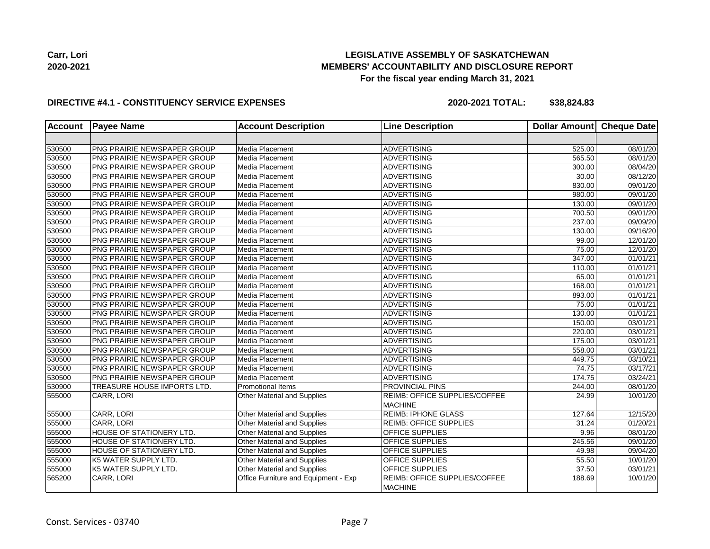

#### **DIRECTIVE #4.1 - CONSTITUENCY SERVICE EXPENSES**

**2020-2021 TOTAL: \$38,824.83**

| <b>Account</b> | <b>Payee Name</b>                  | <b>Account Description</b>           | <b>Line Description</b>                         | Dollar Amount | <b>Cheque Date</b> |
|----------------|------------------------------------|--------------------------------------|-------------------------------------------------|---------------|--------------------|
|                |                                    |                                      |                                                 |               |                    |
| 530500         | PNG PRAIRIE NEWSPAPER GROUP        | Media Placement                      | <b>ADVERTISING</b>                              | 525.00        | 08/01/20           |
| 530500         | PNG PRAIRIE NEWSPAPER GROUP        | Media Placement                      | <b>ADVERTISING</b>                              | 565.50        | 08/01/20           |
| 530500         | PNG PRAIRIE NEWSPAPER GROUP        | Media Placement                      | <b>ADVERTISING</b>                              | 300.00        | 08/04/20           |
| 530500         | PNG PRAIRIE NEWSPAPER GROUP        | Media Placement                      | <b>ADVERTISING</b>                              | 30.00         | 08/12/20           |
| 530500         | <b>PNG PRAIRIE NEWSPAPER GROUP</b> | Media Placement                      | <b>ADVERTISING</b>                              | 830.00        | 09/01/20           |
| 530500         | PNG PRAIRIE NEWSPAPER GROUP        | Media Placement                      | <b>ADVERTISING</b>                              | 980.00        | 09/01/20           |
| 530500         | PNG PRAIRIE NEWSPAPER GROUP        | Media Placement                      | <b>ADVERTISING</b>                              | 130.00        | 09/01/20           |
| 530500         | PNG PRAIRIE NEWSPAPER GROUP        | Media Placement                      | <b>ADVERTISING</b>                              | 700.50        | 09/01/20           |
| 530500         | PNG PRAIRIE NEWSPAPER GROUP        | Media Placement                      | <b>ADVERTISING</b>                              | 237.00        | 09/09/20           |
| 530500         | PNG PRAIRIE NEWSPAPER GROUP        | Media Placement                      | <b>ADVERTISING</b>                              | 130.00        | 09/16/20           |
| 530500         | PNG PRAIRIE NEWSPAPER GROUP        | Media Placement                      | <b>ADVERTISING</b>                              | 99.00         | 12/01/20           |
| 530500         | PNG PRAIRIE NEWSPAPER GROUP        | Media Placement                      | <b>ADVERTISING</b>                              | 75.00         | 12/01/20           |
| 530500         | PNG PRAIRIE NEWSPAPER GROUP        | Media Placement                      | <b>ADVERTISING</b>                              | 347.00        | 01/01/21           |
| 530500         | PNG PRAIRIE NEWSPAPER GROUP        | Media Placement                      | <b>ADVERTISING</b>                              | 110.00        | 01/01/21           |
| 530500         | PNG PRAIRIE NEWSPAPER GROUP        | Media Placement                      | <b>ADVERTISING</b>                              | 65.00         | 01/01/21           |
| 530500         | <b>PNG PRAIRIE NEWSPAPER GROUP</b> | Media Placement                      | <b>ADVERTISING</b>                              | 168.00        | 01/01/21           |
| 530500         | <b>PNG PRAIRIE NEWSPAPER GROUP</b> | Media Placement                      | <b>ADVERTISING</b>                              | 893.00        | 01/01/21           |
| 530500         | PNG PRAIRIE NEWSPAPER GROUP        | Media Placement                      | <b>ADVERTISING</b>                              | 75.00         | 01/01/21           |
| 530500         | PNG PRAIRIE NEWSPAPER GROUP        | Media Placement                      | <b>ADVERTISING</b>                              | 130.00        | 01/01/21           |
| 530500         | <b>PNG PRAIRIE NEWSPAPER GROUP</b> | Media Placement                      | <b>ADVERTISING</b>                              | 150.00        | 03/01/21           |
| 530500         | PNG PRAIRIE NEWSPAPER GROUP        | Media Placement                      | <b>ADVERTISING</b>                              | 220.00        | 03/01/21           |
| 530500         | <b>PNG PRAIRIE NEWSPAPER GROUP</b> | Media Placement                      | <b>ADVERTISING</b>                              | 175.00        | 03/01/21           |
| 530500         | PNG PRAIRIE NEWSPAPER GROUP        | Media Placement                      | <b>ADVERTISING</b>                              | 558.00        | 03/01/21           |
| 530500         | PNG PRAIRIE NEWSPAPER GROUP        | Media Placement                      | <b>ADVERTISING</b>                              | 449.75        | 03/10/21           |
| 530500         | PNG PRAIRIE NEWSPAPER GROUP        | Media Placement                      | <b>ADVERTISING</b>                              | 74.75         | 03/17/21           |
| 530500         | PNG PRAIRIE NEWSPAPER GROUP        | Media Placement                      | <b>ADVERTISING</b>                              | 174.75        | 03/24/21           |
| 530900         | TREASURE HOUSE IMPORTS LTD.        | Promotional Items                    | <b>PROVINCIAL PINS</b>                          | 244.00        | 08/01/20           |
| 555000         | CARR, LORI                         | Other Material and Supplies          | REIMB: OFFICE SUPPLIES/COFFEE<br><b>MACHINE</b> | 24.99         | 10/01/20           |
| 555000         | CARR, LORI                         | <b>Other Material and Supplies</b>   | <b>REIMB: IPHONE GLASS</b>                      | 127.64        | 12/15/20           |
| 555000         | CARR, LORI                         | Other Material and Supplies          | <b>REIMB: OFFICE SUPPLIES</b>                   | 31.24         | 01/20/21           |
| 555000         | HOUSE OF STATIONERY LTD.           | Other Material and Supplies          | OFFICE SUPPLIES                                 | 9.96          | 08/01/20           |
| 555000         | HOUSE OF STATIONERY LTD.           | <b>Other Material and Supplies</b>   | OFFICE SUPPLIES                                 | 245.56        | 09/01/20           |
| 555000         | <b>HOUSE OF STATIONERY LTD.</b>    | <b>Other Material and Supplies</b>   | OFFICE SUPPLIES                                 | 49.98         | 09/04/20           |
| 555000         | K5 WATER SUPPLY LTD.               | Other Material and Supplies          | OFFICE SUPPLIES                                 | 55.50         | 10/01/20           |
| 555000         | K5 WATER SUPPLY LTD.               | Other Material and Supplies          | OFFICE SUPPLIES                                 | 37.50         | 03/01/21           |
| 565200         | CARR, LORI                         | Office Furniture and Equipment - Exp | REIMB: OFFICE SUPPLIES/COFFEE<br><b>MACHINE</b> | 188.69        | 10/01/20           |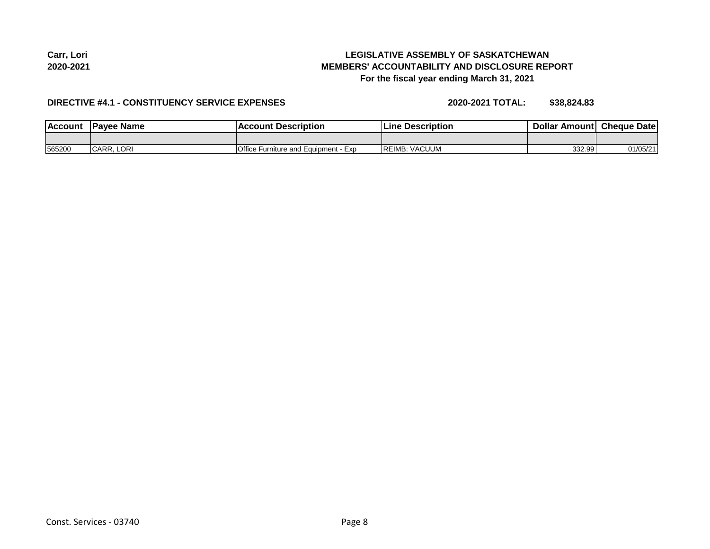#### Const. Services - 03740 Page 8

**LEGISLATIVE ASSEMBLY OF SASKATCHEWAN MEMBERS' ACCOUNTABILITY AND DISCLOSURE REPORT For the fiscal year ending March 31, 2021**

#### **DIRECTIVE #4.1 - CONSTITUENCY SERVICE EXPENSES**

**2020-2021 TOTAL: \$38,824.83**

| <b>IAccou</b> | Pavee Name          | <b>COLINT</b><br>Description<br>ACL              | <b>Description</b><br>∵ine | <b>Dollar</b><br>Amoun+ | <b>Cheque</b><br>Date |
|---------------|---------------------|--------------------------------------------------|----------------------------|-------------------------|-----------------------|
|               |                     |                                                  |                            |                         |                       |
| 565200        | <b>LORI</b><br>CARR | Office<br>l Equipment<br>e Furniture and<br>∙Exp | . VACUUM<br>REIMB:         | 332.99                  | 01/05/21              |

**Carr, Lori 2020-2021**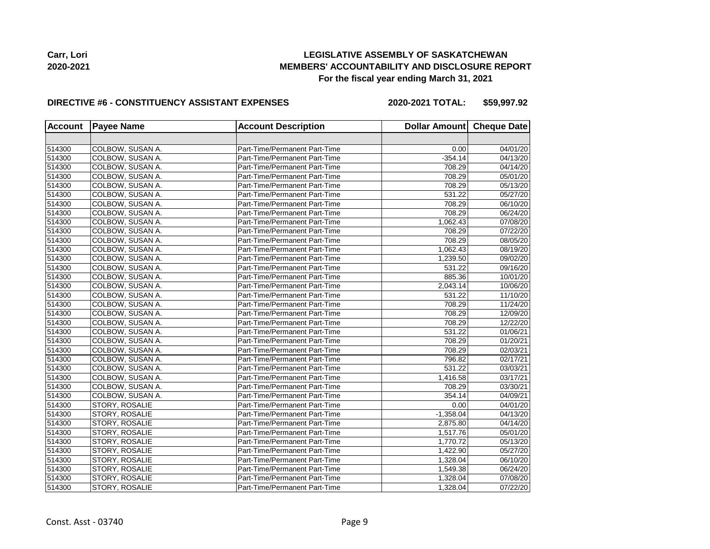

#### **DIRECTIVE #6 - CONSTITUENCY ASSISTANT EXPENSES**

**2020-2021 TOTAL: \$59,997.92**

| <b>Account</b> | <b>Payee Name</b> | <b>Account Description</b>    | Dollar Amount Cheque Date |          |
|----------------|-------------------|-------------------------------|---------------------------|----------|
|                |                   |                               |                           |          |
| 514300         | COLBOW, SUSAN A.  | Part-Time/Permanent Part-Time | 0.00                      | 04/01/20 |
| 514300         | COLBOW, SUSAN A.  | Part-Time/Permanent Part-Time | $-354.14$                 | 04/13/20 |
| 514300         | COLBOW, SUSAN A.  | Part-Time/Permanent Part-Time | 708.29                    | 04/14/20 |
| 514300         | COLBOW, SUSAN A.  | Part-Time/Permanent Part-Time | 708.29                    | 05/01/20 |
| 514300         | COLBOW, SUSAN A.  | Part-Time/Permanent Part-Time | 708.29                    | 05/13/20 |
| 514300         | COLBOW, SUSAN A.  | Part-Time/Permanent Part-Time | 531.22                    | 05/27/20 |
| 514300         | COLBOW, SUSAN A.  | Part-Time/Permanent Part-Time | 708.29                    | 06/10/20 |
| 514300         | COLBOW, SUSAN A.  | Part-Time/Permanent Part-Time | 708.29                    | 06/24/20 |
| 514300         | COLBOW, SUSAN A.  | Part-Time/Permanent Part-Time | 1,062.43                  | 07/08/20 |
| 514300         | COLBOW, SUSAN A.  | Part-Time/Permanent Part-Time | 708.29                    | 07/22/20 |
| 514300         | COLBOW, SUSAN A.  | Part-Time/Permanent Part-Time | 708.29                    | 08/05/20 |
| 514300         | COLBOW, SUSAN A.  | Part-Time/Permanent Part-Time | 1,062.43                  | 08/19/20 |
| 514300         | COLBOW, SUSAN A.  | Part-Time/Permanent Part-Time | 1,239.50                  | 09/02/20 |
| 514300         | COLBOW, SUSAN A.  | Part-Time/Permanent Part-Time | 531.22                    | 09/16/20 |
| 514300         | COLBOW, SUSAN A.  | Part-Time/Permanent Part-Time | 885.36                    | 10/01/20 |
| 514300         | COLBOW, SUSAN A.  | Part-Time/Permanent Part-Time | 2.043.14                  | 10/06/20 |
| 514300         | COLBOW, SUSAN A.  | Part-Time/Permanent Part-Time | 531.22                    | 11/10/20 |
| 514300         | COLBOW, SUSAN A.  | Part-Time/Permanent Part-Time | 708.29                    | 11/24/20 |
| 514300         | COLBOW, SUSAN A.  | Part-Time/Permanent Part-Time | 708.29                    | 12/09/20 |
| 514300         | COLBOW, SUSAN A.  | Part-Time/Permanent Part-Time | 708.29                    | 12/22/20 |
| 514300         | COLBOW, SUSAN A.  | Part-Time/Permanent Part-Time | 531.22                    | 01/06/21 |
| 514300         | COLBOW, SUSAN A.  | Part-Time/Permanent Part-Time | 708.29                    | 01/20/21 |
| 514300         | COLBOW, SUSAN A.  | Part-Time/Permanent Part-Time | 708.29                    | 02/03/21 |
| 514300         | COLBOW, SUSAN A.  | Part-Time/Permanent Part-Time | 796.82                    | 02/17/21 |
| 514300         | COLBOW, SUSAN A.  | Part-Time/Permanent Part-Time | 531.22                    | 03/03/21 |
| 514300         | COLBOW, SUSAN A.  | Part-Time/Permanent Part-Time | 1,416.58                  | 03/17/21 |
| 514300         | COLBOW, SUSAN A.  | Part-Time/Permanent Part-Time | 708.29                    | 03/30/21 |
| 514300         | COLBOW, SUSAN A.  | Part-Time/Permanent Part-Time | 354.14                    | 04/09/21 |
| 514300         | STORY, ROSALIE    | Part-Time/Permanent Part-Time | 0.00                      | 04/01/20 |
| 514300         | STORY, ROSALIE    | Part-Time/Permanent Part-Time | $-1,358.04$               | 04/13/20 |
| 514300         | STORY, ROSALIE    | Part-Time/Permanent Part-Time | 2,875.80                  | 04/14/20 |
| 514300         | STORY, ROSALIE    | Part-Time/Permanent Part-Time | 1,517.76                  | 05/01/20 |
| 514300         | STORY, ROSALIE    | Part-Time/Permanent Part-Time | 1,770.72                  | 05/13/20 |
| 514300         | STORY, ROSALIE    | Part-Time/Permanent Part-Time | 1.422.90                  | 05/27/20 |
| 514300         | STORY, ROSALIE    | Part-Time/Permanent Part-Time | 1,328.04                  | 06/10/20 |
| 514300         | STORY, ROSALIE    | Part-Time/Permanent Part-Time | 1,549.38                  | 06/24/20 |
| 514300         | STORY, ROSALIE    | Part-Time/Permanent Part-Time | 1,328.04                  | 07/08/20 |
| 514300         | STORY, ROSALIE    | Part-Time/Permanent Part-Time | 1,328.04                  | 07/22/20 |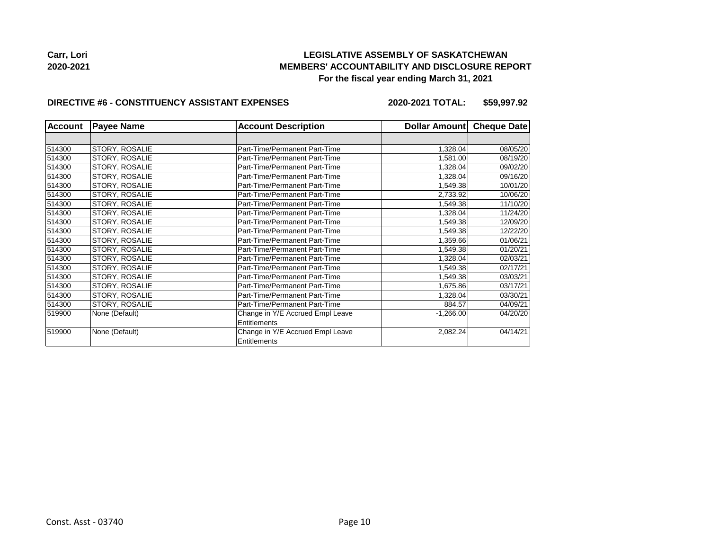

#### **DIRECTIVE #6 - CONSTITUENCY ASSISTANT EXPENSES**

**2020-2021 TOTAL: \$59,997.92**

| <b>Account</b> | <b>Payee Name</b> | <b>Account Description</b>                       | Dollar Amount | <b>Cheque Date</b> |
|----------------|-------------------|--------------------------------------------------|---------------|--------------------|
|                |                   |                                                  |               |                    |
| 514300         | STORY, ROSALIE    | Part-Time/Permanent Part-Time                    | 1,328.04      | 08/05/20           |
| 514300         | STORY, ROSALIE    | Part-Time/Permanent Part-Time                    | 1,581.00      | 08/19/20           |
| 514300         | STORY, ROSALIE    | Part-Time/Permanent Part-Time                    | 1.328.04      | 09/02/20           |
| 514300         | STORY, ROSALIE    | Part-Time/Permanent Part-Time                    | 1,328.04      | 09/16/20           |
| 514300         | STORY, ROSALIE    | Part-Time/Permanent Part-Time                    | 1,549.38      | 10/01/20           |
| 514300         | STORY, ROSALIE    | Part-Time/Permanent Part-Time                    | 2,733.92      | 10/06/20           |
| 514300         | STORY, ROSALIE    | Part-Time/Permanent Part-Time                    | 1.549.38      | 11/10/20           |
| 514300         | STORY, ROSALIE    | Part-Time/Permanent Part-Time                    | 1,328.04      | 11/24/20           |
| 514300         | STORY, ROSALIE    | Part-Time/Permanent Part-Time                    | 1.549.38      | 12/09/20           |
| 514300         | STORY, ROSALIE    | Part-Time/Permanent Part-Time                    | 1,549.38      | 12/22/20           |
| 514300         | STORY, ROSALIE    | Part-Time/Permanent Part-Time                    | 1,359.66      | 01/06/21           |
| 514300         | STORY, ROSALIE    | Part-Time/Permanent Part-Time                    | 1,549.38      | 01/20/21           |
| 514300         | STORY, ROSALIE    | Part-Time/Permanent Part-Time                    | 1,328.04      | 02/03/21           |
| 514300         | STORY, ROSALIE    | Part-Time/Permanent Part-Time                    | 1,549.38      | 02/17/21           |
| 514300         | STORY, ROSALIE    | Part-Time/Permanent Part-Time                    | 1,549.38      | 03/03/21           |
| 514300         | STORY, ROSALIE    | Part-Time/Permanent Part-Time                    | 1,675.86      | 03/17/21           |
| 514300         | STORY, ROSALIE    | Part-Time/Permanent Part-Time                    | 1,328.04      | 03/30/21           |
| 514300         | STORY, ROSALIE    | Part-Time/Permanent Part-Time                    | 884.57        | 04/09/21           |
| 519900         | None (Default)    | Change in Y/E Accrued Empl Leave                 | $-1,266.00$   | 04/20/20           |
|                |                   | Entitlements                                     |               |                    |
| 519900         | None (Default)    | Change in Y/E Accrued Empl Leave<br>Entitlements | 2,082.24      | 04/14/21           |